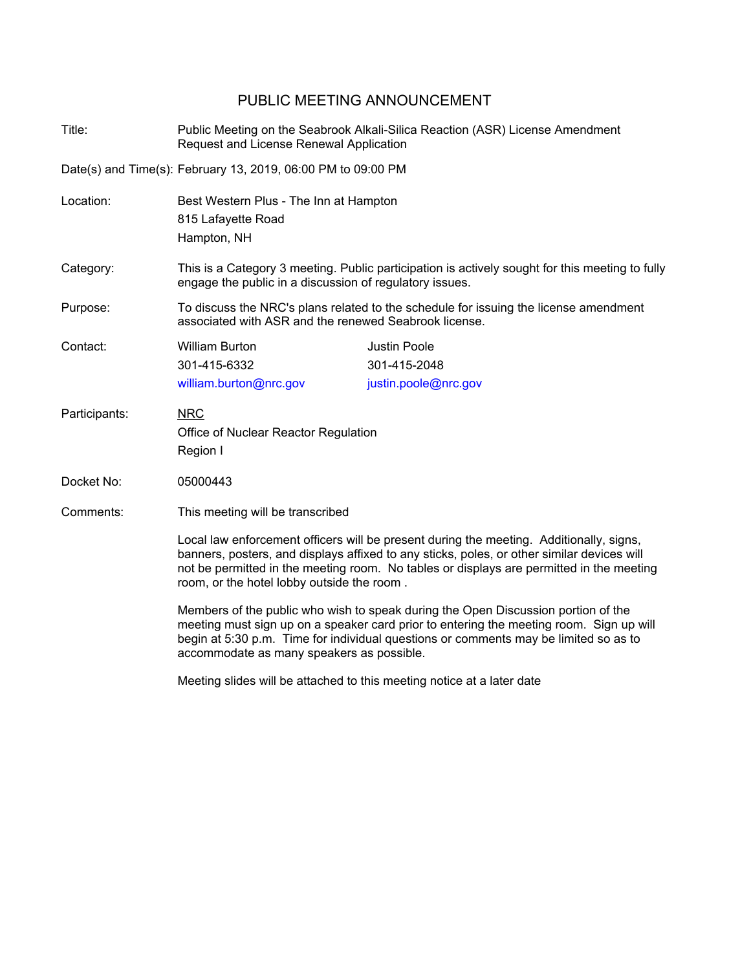## PUBLIC MEETING ANNOUNCEMENT

| Title:        | Public Meeting on the Seabrook Alkali-Silica Reaction (ASR) License Amendment<br>Request and License Renewal Application                                                                                                                                                                                                        |                                                             |  |
|---------------|---------------------------------------------------------------------------------------------------------------------------------------------------------------------------------------------------------------------------------------------------------------------------------------------------------------------------------|-------------------------------------------------------------|--|
|               | Date(s) and Time(s): February 13, 2019, 06:00 PM to 09:00 PM                                                                                                                                                                                                                                                                    |                                                             |  |
| Location:     | Best Western Plus - The Inn at Hampton<br>815 Lafayette Road<br>Hampton, NH                                                                                                                                                                                                                                                     |                                                             |  |
| Category:     | This is a Category 3 meeting. Public participation is actively sought for this meeting to fully<br>engage the public in a discussion of regulatory issues.                                                                                                                                                                      |                                                             |  |
| Purpose:      | To discuss the NRC's plans related to the schedule for issuing the license amendment<br>associated with ASR and the renewed Seabrook license.                                                                                                                                                                                   |                                                             |  |
| Contact:      | <b>William Burton</b><br>301-415-6332<br>william.burton@nrc.gov                                                                                                                                                                                                                                                                 | <b>Justin Poole</b><br>301-415-2048<br>justin.poole@nrc.gov |  |
| Participants: | <b>NRC</b><br>Office of Nuclear Reactor Regulation<br>Region I                                                                                                                                                                                                                                                                  |                                                             |  |
| Docket No:    | 05000443                                                                                                                                                                                                                                                                                                                        |                                                             |  |
| Comments:     | This meeting will be transcribed                                                                                                                                                                                                                                                                                                |                                                             |  |
|               | Local law enforcement officers will be present during the meeting. Additionally, signs,<br>banners, posters, and displays affixed to any sticks, poles, or other similar devices will<br>not be permitted in the meeting room. No tables or displays are permitted in the meeting<br>room, or the hotel lobby outside the room. |                                                             |  |
|               | Members of the public who wish to speak during the Open Discussion portion of the<br>meeting must sign up on a speaker card prior to entering the meeting room. Sign up will<br>begin at 5:30 p.m. Time for individual questions or comments may be limited so as to<br>accommodate as many speakers as possible.               |                                                             |  |
|               |                                                                                                                                                                                                                                                                                                                                 |                                                             |  |

Meeting slides will be attached to this meeting notice at a later date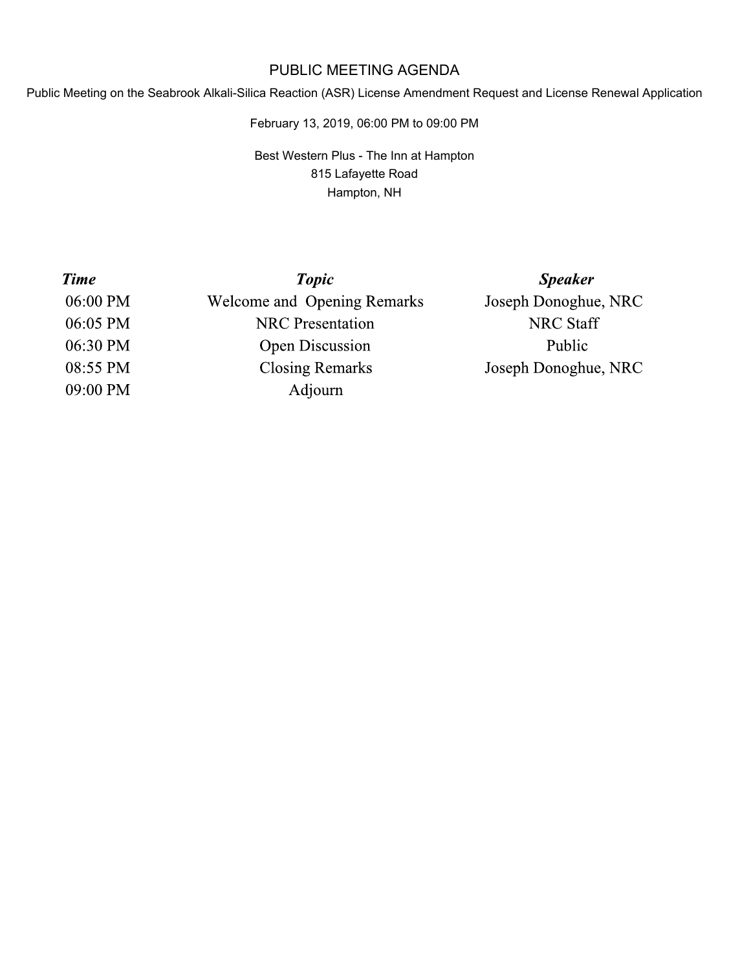## PUBLIC MEETING AGENDA

Public Meeting on the Seabrook Alkali-Silica Reaction (ASR) License Amendment Request and License Renewal Application

February 13, 2019, 06:00 PM to 09:00 PM

Best Western Plus - The Inn at Hampton 815 Lafayette Road Hampton, NH

| <b>Time</b> | <b>Topic</b>                       | <b>Speaker</b>       |
|-------------|------------------------------------|----------------------|
| 06:00 PM    | <b>Welcome and Opening Remarks</b> | Joseph Donoghue, NRC |
| 06:05 PM    | <b>NRC</b> Presentation            | <b>NRC Staff</b>     |
| 06:30 PM    | <b>Open Discussion</b>             | Public               |
| 08:55 PM    | <b>Closing Remarks</b>             | Joseph Donoghue, NRC |
| 09:00 PM    | Adjourn                            |                      |